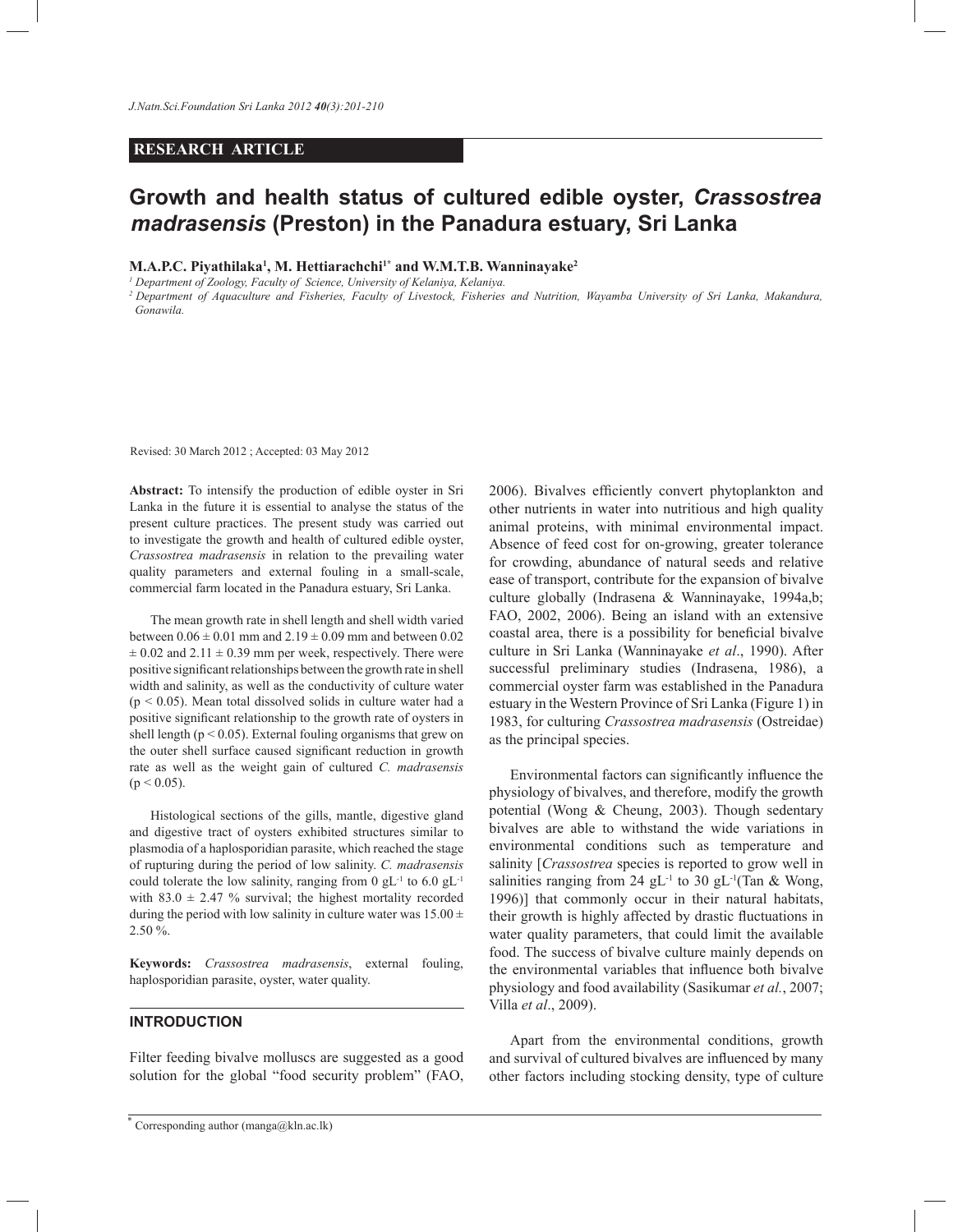# **RESEARCH ARTICLE**

# **Growth and health status of cultured edible oyster,** *Crassostrea madrasensis* **(Preston) in the Panadura estuary, Sri Lanka**

### **M.A.P.C. Piyathilaka<sup>1</sup> , M. Hettiarachchi1\* and W.M.T.B. Wanninayake<sup>2</sup>**

*1 Department of Zoology, Faculty of Science, University of Kelaniya, Kelaniya.*

*<sup>2</sup>Department of Aquaculture and Fisheries, Faculty of Livestock, Fisheries and Nutrition, Wayamba University of Sri Lanka, Makandura, Gonawila.*

Revised: 30 March 2012 ; Accepted: 03 May 2012

**Abstract:** To intensify the production of edible oyster in Sri Lanka in the future it is essential to analyse the status of the present culture practices. The present study was carried out to investigate the growth and health of cultured edible oyster, *Crassostrea madrasensis* in relation to the prevailing water quality parameters and external fouling in a small-scale, commercial farm located in the Panadura estuary, Sri Lanka.

 The mean growth rate in shell length and shell width varied between  $0.06 \pm 0.01$  mm and  $2.19 \pm 0.09$  mm and between 0.02  $\pm$  0.02 and 2.11  $\pm$  0.39 mm per week, respectively. There were positive significant relationships between the growth rate in shell width and salinity, as well as the conductivity of culture water  $(p < 0.05)$ . Mean total dissolved solids in culture water had a positive significant relationship to the growth rate of oysters in shell length ( $p < 0.05$ ). External fouling organisms that grew on the outer shell surface caused significant reduction in growth rate as well as the weight gain of cultured *C. madrasensis*  $(p < 0.05)$ .

 Histological sections of the gills, mantle, digestive gland and digestive tract of oysters exhibited structures similar to plasmodia of a haplosporidian parasite, which reached the stage of rupturing during the period of low salinity. *C. madrasensis* could tolerate the low salinity, ranging from 0  $gL^{-1}$  to 6.0  $gL^{-1}$ with 83.0  $\pm$  2.47 % survival; the highest mortality recorded during the period with low salinity in culture water was  $15.00 \pm$ 2.50 %.

**Keywords:** *Crassostrea madrasensis*, external fouling, haplosporidian parasite, oyster, water quality.

### **INTRODUCTION**

Filter feeding bivalve molluscs are suggested as a good solution for the global "food security problem" (FAO, 2006). Bivalves efficiently convert phytoplankton and other nutrients in water into nutritious and high quality animal proteins, with minimal environmental impact. Absence of feed cost for on-growing, greater tolerance for crowding, abundance of natural seeds and relative ease of transport, contribute for the expansion of bivalve culture globally (Indrasena & Wanninayake, 1994a,b; FAO, 2002, 2006). Being an island with an extensive coastal area, there is a possibility for beneficial bivalve culture in Sri Lanka (Wanninayake *et al*., 1990). After successful preliminary studies (Indrasena, 1986), a commercial oyster farm was established in the Panadura estuary in the Western Province of Sri Lanka (Figure 1) in 1983, for culturing *Crassostrea madrasensis* (Ostreidae) as the principal species.

 Environmental factors can significantly influence the physiology of bivalves, and therefore, modify the growth potential (Wong & Cheung, 2003). Though sedentary bivalves are able to withstand the wide variations in environmental conditions such as temperature and salinity [*Crassostrea* species is reported to grow well in salinities ranging from 24 gL<sup>-1</sup> to 30 gL<sup>-1</sup>(Tan & Wong, 1996)] that commonly occur in their natural habitats, their growth is highly affected by drastic fluctuations in water quality parameters, that could limit the available food. The success of bivalve culture mainly depends on the environmental variables that influence both bivalve physiology and food availability (Sasikumar *et al.*, 2007; Villa *et al*., 2009).

 Apart from the environmental conditions, growth and survival of cultured bivalves are influenced by many other factors including stocking density, type of culture

<sup>\*</sup> Corresponding author (manga@kln.ac.lk)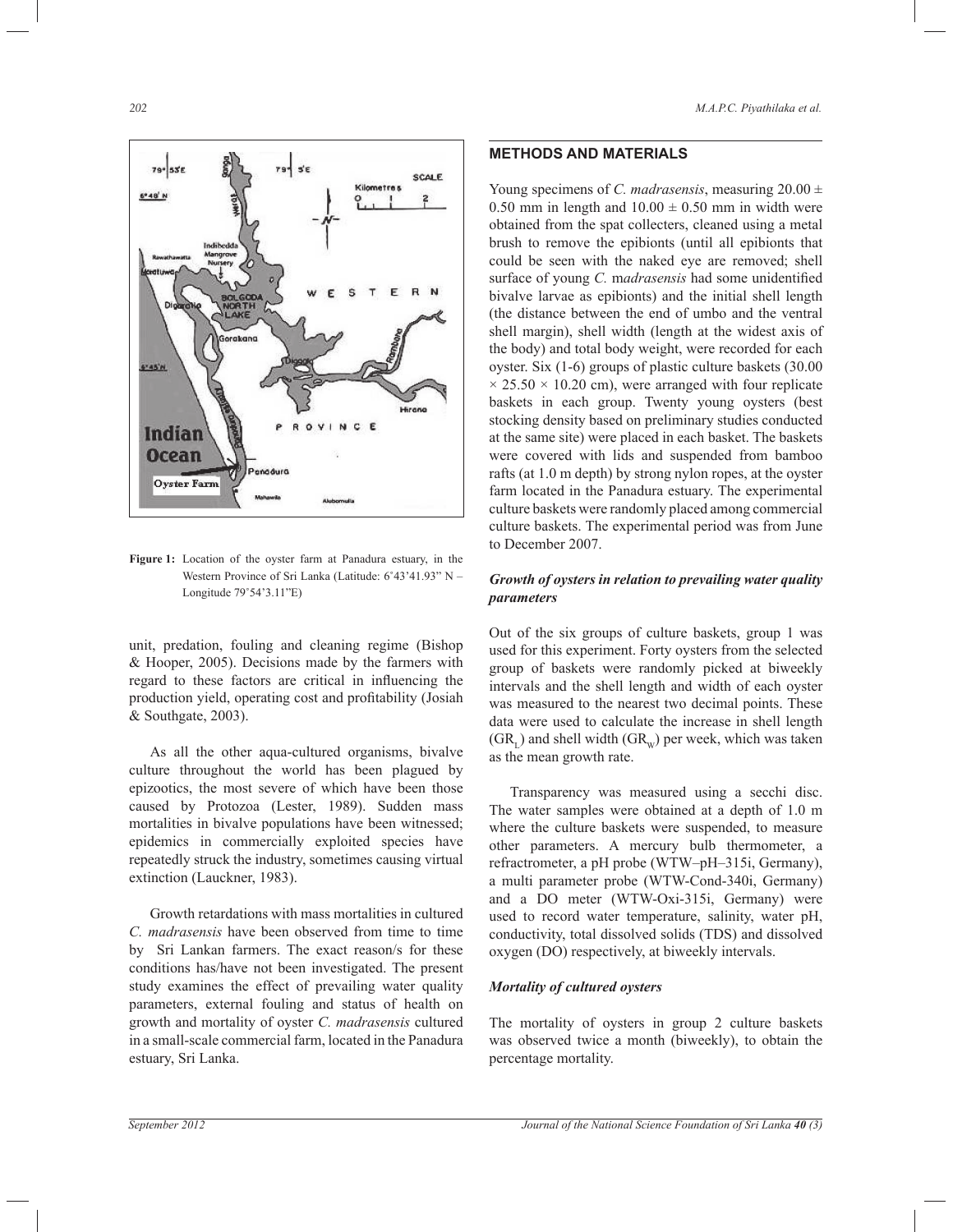

**Figure 1:** Location of the oyster farm at Panadura estuary, in the Western Province of Sri Lanka (Latitude: 6˚43'41.93" N – Longitude 79˚54'3.11"E)

unit, predation, fouling and cleaning regime (Bishop & Hooper, 2005). Decisions made by the farmers with regard to these factors are critical in influencing the production yield, operating cost and profitability (Josiah & Southgate, 2003).

> As all the other aqua-cultured organisms, bivalve culture throughout the world has been plagued by epizootics, the most severe of which have been those caused by Protozoa (Lester, 1989). Sudden mass mortalities in bivalve populations have been witnessed; epidemics in commercially exploited species have repeatedly struck the industry, sometimes causing virtual extinction (Lauckner, 1983).

> Growth retardations with mass mortalities in cultured *C. madrasensis* have been observed from time to time by Sri Lankan farmers. The exact reason/s for these conditions has/have not been investigated. The present study examines the effect of prevailing water quality parameters, external fouling and status of health on growth and mortality of oyster *C. madrasensis* cultured in a small-scale commercial farm, located in the Panadura estuary, Sri Lanka.

# **METHODS AND MATERIALS**

Young specimens of *C. madrasensis*, measuring  $20.00 \pm$ 0.50 mm in length and  $10.00 \pm 0.50$  mm in width were obtained from the spat collecters, cleaned using a metal brush to remove the epibionts (until all epibionts that could be seen with the naked eye are removed; shell surface of young *C.* m*adrasensis* had some unidentified bivalve larvae as epibionts) and the initial shell length (the distance between the end of umbo and the ventral shell margin), shell width (length at the widest axis of the body) and total body weight, were recorded for each oyster. Six (1-6) groups of plastic culture baskets (30.00  $\times$  25.50  $\times$  10.20 cm), were arranged with four replicate baskets in each group. Twenty young oysters (best stocking density based on preliminary studies conducted at the same site) were placed in each basket. The baskets were covered with lids and suspended from bamboo rafts (at 1.0 m depth) by strong nylon ropes, at the oyster farm located in the Panadura estuary. The experimental culture baskets were randomly placed among commercial culture baskets. The experimental period was from June to December 2007.

# *Growth of oysters in relation to prevailing water quality parameters*

Out of the six groups of culture baskets, group 1 was used for this experiment. Forty oysters from the selected group of baskets were randomly picked at biweekly intervals and the shell length and width of each oyster was measured to the nearest two decimal points. These data were used to calculate the increase in shell length  $(GR_L)$  and shell width  $(GR_W)$  per week, which was taken as the mean growth rate.

 Transparency was measured using a secchi disc. The water samples were obtained at a depth of 1.0 m where the culture baskets were suspended, to measure other parameters. A mercury bulb thermometer, a refractrometer, a pH probe (WTW–pH–315i, Germany), a multi parameter probe (WTW-Cond-340i, Germany) and a DO meter (WTW-Oxi-315i, Germany) were used to record water temperature, salinity, water pH, conductivity, total dissolved solids (TDS) and dissolved oxygen (DO) respectively, at biweekly intervals.

# *Mortality of cultured oysters*

The mortality of oysters in group 2 culture baskets was observed twice a month (biweekly), to obtain the percentage mortality.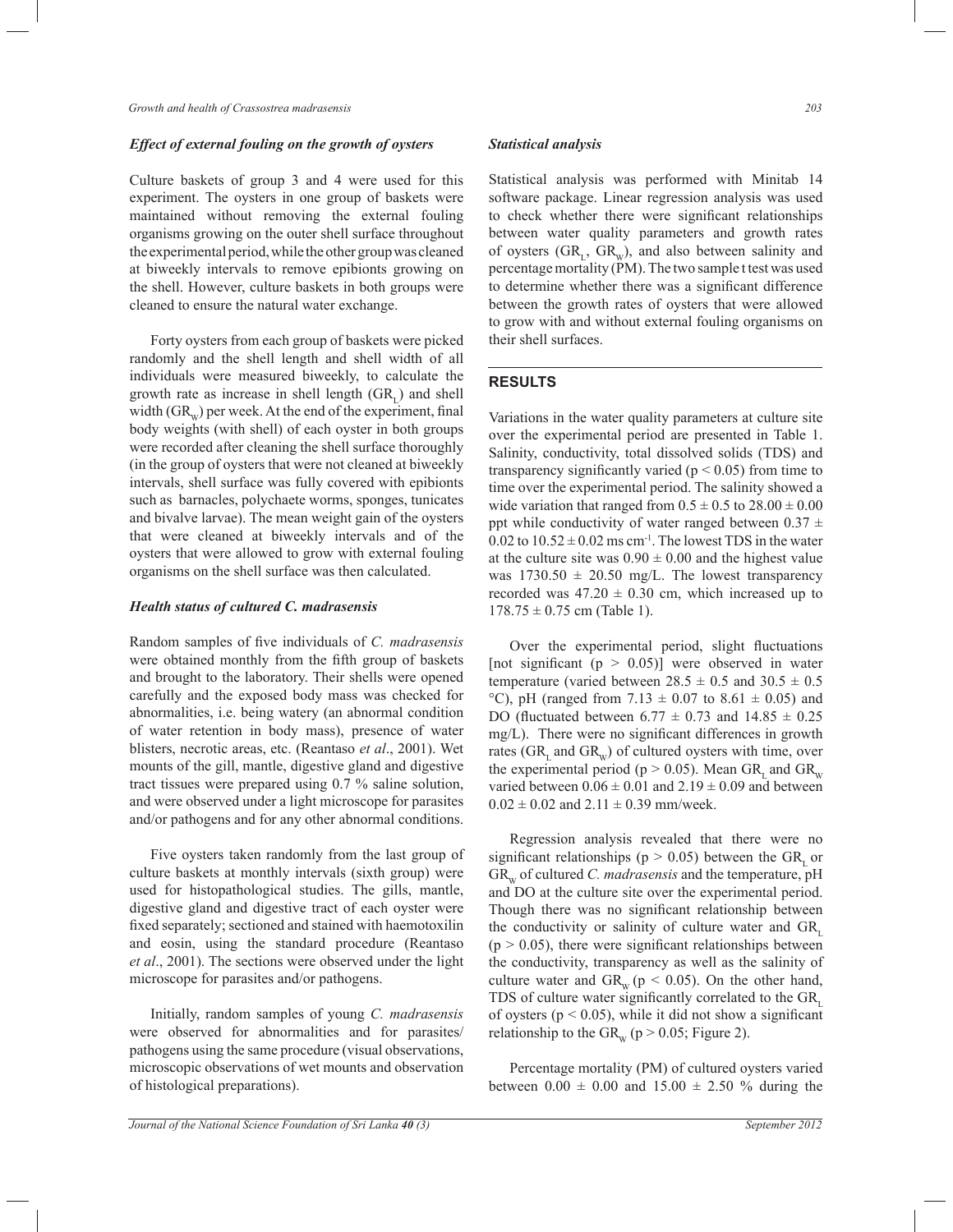### *Effect of external fouling on the growth of oysters*

Culture baskets of group 3 and 4 were used for this experiment. The oysters in one group of baskets were maintained without removing the external fouling organisms growing on the outer shell surface throughout the experimental period, while the other group was cleaned at biweekly intervals to remove epibionts growing on the shell. However, culture baskets in both groups were cleaned to ensure the natural water exchange.

 Forty oysters from each group of baskets were picked randomly and the shell length and shell width of all individuals were measured biweekly, to calculate the growth rate as increase in shell length  $(GR<sub>L</sub>)$  and shell width  $(GR_w)$  per week. At the end of the experiment, final body weights (with shell) of each oyster in both groups were recorded after cleaning the shell surface thoroughly (in the group of oysters that were not cleaned at biweekly intervals, shell surface was fully covered with epibionts such as barnacles, polychaete worms, sponges, tunicates and bivalve larvae). The mean weight gain of the oysters that were cleaned at biweekly intervals and of the oysters that were allowed to grow with external fouling organisms on the shell surface was then calculated.

#### *Health status of cultured C. madrasensis*

Random samples of five individuals of *C. madrasensis* were obtained monthly from the fifth group of baskets and brought to the laboratory. Their shells were opened carefully and the exposed body mass was checked for abnormalities, i.e. being watery (an abnormal condition of water retention in body mass), presence of water blisters, necrotic areas, etc. (Reantaso *et al*., 2001). Wet mounts of the gill, mantle, digestive gland and digestive tract tissues were prepared using 0.7 % saline solution, and were observed under a light microscope for parasites and/or pathogens and for any other abnormal conditions.

 Five oysters taken randomly from the last group of culture baskets at monthly intervals (sixth group) were used for histopathological studies. The gills, mantle, digestive gland and digestive tract of each oyster were fixed separately; sectioned and stained with haemotoxilin and eosin, using the standard procedure (Reantaso *et al*., 2001). The sections were observed under the light microscope for parasites and/or pathogens.

 Initially, random samples of young *C. madrasensis* were observed for abnormalities and for parasites/ pathogens using the same procedure (visual observations, microscopic observations of wet mounts and observation of histological preparations).

### *Statistical analysis*

Statistical analysis was performed with Minitab 14 software package. Linear regression analysis was used to check whether there were significant relationships between water quality parameters and growth rates of oysters  $(GR_L, GR_w)$ , and also between salinity and percentage mortality (PM). The two sample t test was used to determine whether there was a significant difference between the growth rates of oysters that were allowed to grow with and without external fouling organisms on their shell surfaces.

## **RESULTS**

Variations in the water quality parameters at culture site over the experimental period are presented in Table 1. Salinity, conductivity, total dissolved solids (TDS) and transparency significantly varied ( $p < 0.05$ ) from time to time over the experimental period. The salinity showed a wide variation that ranged from  $0.5 \pm 0.5$  to  $28.00 \pm 0.00$ ppt while conductivity of water ranged between  $0.37 \pm$  $0.02$  to  $10.52 \pm 0.02$  ms cm<sup>-1</sup>. The lowest TDS in the water at the culture site was  $0.90 \pm 0.00$  and the highest value was  $1730.50 \pm 20.50$  mg/L. The lowest transparency recorded was  $47.20 \pm 0.30$  cm, which increased up to  $178.75 \pm 0.75$  cm (Table 1).

 Over the experimental period, slight fluctuations [not significant ( $p > 0.05$ )] were observed in water temperature (varied between  $28.5 \pm 0.5$  and  $30.5 \pm 0.5$ °C), pH (ranged from  $7.13 \pm 0.07$  to  $8.61 \pm 0.05$ ) and DO (fluctuated between  $6.77 \pm 0.73$  and  $14.85 \pm 0.25$ mg/L). There were no significant differences in growth rates ( $GR<sub>L</sub>$  and  $GR<sub>w</sub>$ ) of cultured oysters with time, over the experimental period ( $p > 0.05$ ). Mean GR, and GR<sub>w</sub> varied between  $0.06 \pm 0.01$  and  $2.19 \pm 0.09$  and between  $0.02 \pm 0.02$  and  $2.11 \pm 0.39$  mm/week.

 Regression analysis revealed that there were no significant relationships ( $p > 0.05$ ) between the GR, or GR<sub>W</sub> of cultured *C. madrasensis* and the temperature, pH and DO at the culture site over the experimental period. Though there was no significant relationship between the conductivity or salinity of culture water and GR.  $(p > 0.05)$ , there were significant relationships between the conductivity, transparency as well as the salinity of culture water and GR<sub>w</sub> ( $p < 0.05$ ). On the other hand, TDS of culture water significantly correlated to the GR. of oysters ( $p < 0.05$ ), while it did not show a significant relationship to the  $GR_w (p > 0.05; Figure 2)$ .

 Percentage mortality (PM) of cultured oysters varied between  $0.00 \pm 0.00$  and  $15.00 \pm 2.50$  % during the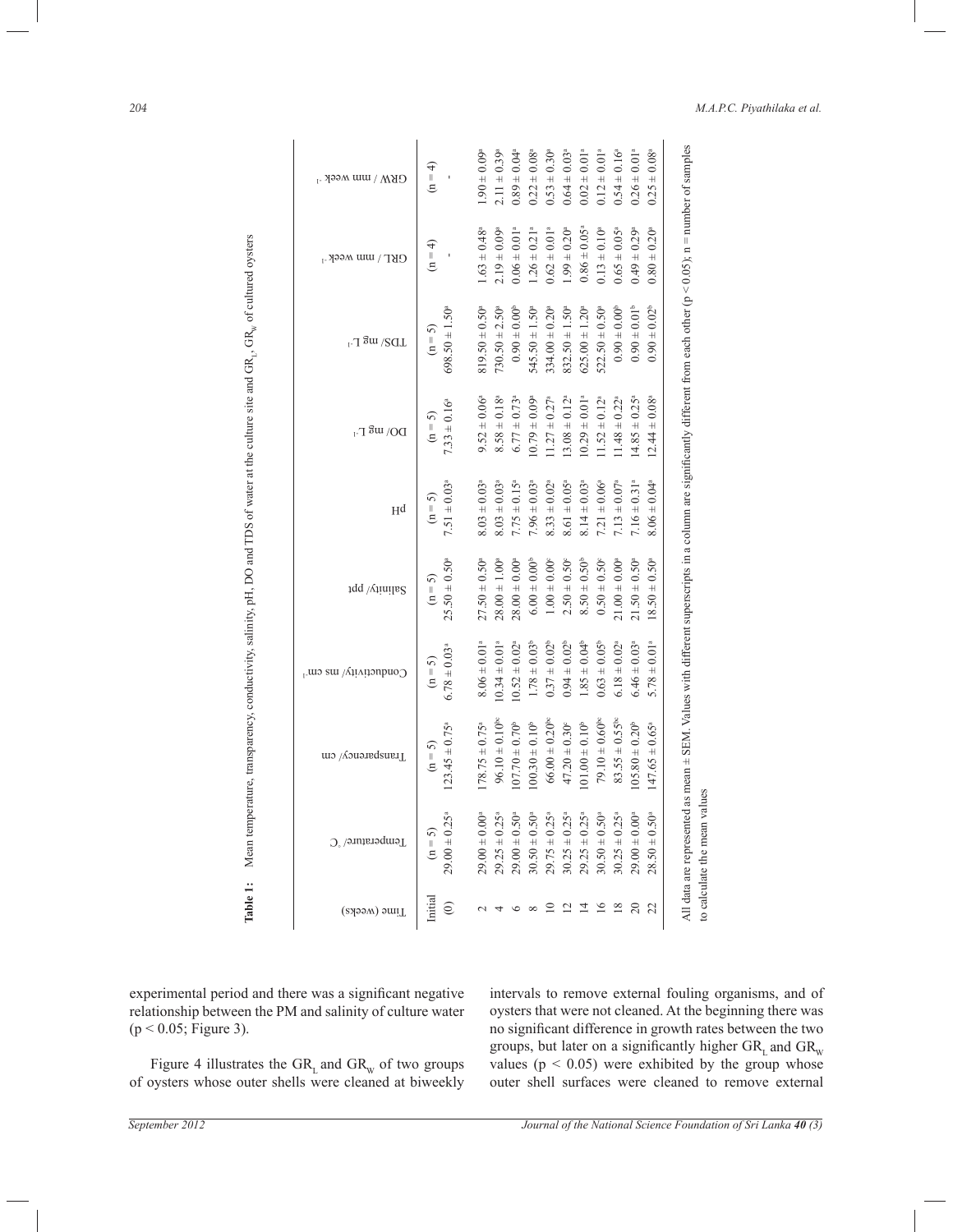| temperature, transparency, conductivity, salinity, pH, DO and TDS of water at the culture site and GR <sub>1</sub> , GR <sub>w</sub> of cultured oysters<br>Mean                                                                                                                             | GRW / mm week <sup>-1</sup>                                                                                                                                                                                                                                                                                                                                                                                                                          |  |  |  |  |  |  |                                                                                                                                                                                                                                                                                                                                                                    |
|----------------------------------------------------------------------------------------------------------------------------------------------------------------------------------------------------------------------------------------------------------------------------------------------|------------------------------------------------------------------------------------------------------------------------------------------------------------------------------------------------------------------------------------------------------------------------------------------------------------------------------------------------------------------------------------------------------------------------------------------------------|--|--|--|--|--|--|--------------------------------------------------------------------------------------------------------------------------------------------------------------------------------------------------------------------------------------------------------------------------------------------------------------------------------------------------------------------|
|                                                                                                                                                                                                                                                                                              | $GRL / mm$ week <sup>-1</sup>                                                                                                                                                                                                                                                                                                                                                                                                                        |  |  |  |  |  |  |                                                                                                                                                                                                                                                                                                                                                                    |
|                                                                                                                                                                                                                                                                                              | $LDSU$ mg $L-1$                                                                                                                                                                                                                                                                                                                                                                                                                                      |  |  |  |  |  |  | $\begin{tabular}{cccccccc} \hline initial & (n=5) & (n=5) & (n=5) & (n=5) & (n=5) & (n=5) & (n=5) & (n=5) & (n=5) & (n=5) & (n=5) & (n=5) & (n=5) & (n=5) & (n=5) & (n=5) & (n=5) & (n=5) & (n=5) & (n=5) & (n=5) & (n=5) & (n=5) & (n=5) & (n=5) & (n=5) & (n=5) & (n=5) & (n=5) & (n=5) & (n=5) & (n=5) & (n=5) & (n=5) & (n$                                    |
|                                                                                                                                                                                                                                                                                              | $DO/N$ ang L-1                                                                                                                                                                                                                                                                                                                                                                                                                                       |  |  |  |  |  |  |                                                                                                                                                                                                                                                                                                                                                                    |
|                                                                                                                                                                                                                                                                                              | Hq                                                                                                                                                                                                                                                                                                                                                                                                                                                   |  |  |  |  |  |  |                                                                                                                                                                                                                                                                                                                                                                    |
|                                                                                                                                                                                                                                                                                              | 5alinity/ppt                                                                                                                                                                                                                                                                                                                                                                                                                                         |  |  |  |  |  |  |                                                                                                                                                                                                                                                                                                                                                                    |
|                                                                                                                                                                                                                                                                                              | Conductivity/ ms cm <sup>-1</sup>                                                                                                                                                                                                                                                                                                                                                                                                                    |  |  |  |  |  |  |                                                                                                                                                                                                                                                                                                                                                                    |
|                                                                                                                                                                                                                                                                                              | Transparency/cm                                                                                                                                                                                                                                                                                                                                                                                                                                      |  |  |  |  |  |  |                                                                                                                                                                                                                                                                                                                                                                    |
|                                                                                                                                                                                                                                                                                              | Temperature/ °C                                                                                                                                                                                                                                                                                                                                                                                                                                      |  |  |  |  |  |  |                                                                                                                                                                                                                                                                                                                                                                    |
| Table 1:                                                                                                                                                                                                                                                                                     | $\begin{tabular}{ c c } \hline & \multicolumn{3}{ c }{\textbf{C}} & \multicolumn{3}{ c }{\textbf{C}} \\ \multicolumn{3}{ c }{\textbf{C}} & \multicolumn{3}{ c }{\textbf{C}} & \multicolumn{3}{ c }{\textbf{C}} \\ \multicolumn{3}{ c }{\textbf{C}} & \multicolumn{3}{ c }{\textbf{C}} & \multicolumn{3}{ c }{\textbf{C}} & \multicolumn{3}{ c }{\textbf{C}} \\ \multicolumn{3}{ c }{\textbf{C}} & \multicolumn{3}{ c }{\textbf{C}} & \multicolumn{3$ |  |  |  |  |  |  |                                                                                                                                                                                                                                                                                                                                                                    |
| experimental period and there was a significant negative<br>relationship between the PM and salinity of culture water<br>$(p < 0.05;$ Figure 3).<br>Figure 4 illustrates the $GR$ <sub>L</sub> and $GR$ <sub>w</sub> of two groups<br>of oysters whose outer shells were cleaned at biweekly |                                                                                                                                                                                                                                                                                                                                                                                                                                                      |  |  |  |  |  |  | intervals to remove external fouling organisms, and of<br>oysters that were not cleaned. At the beginning there was<br>no significant difference in growth rates between the two<br>groups, but later on a significantly higher $GRL$ and $GRw$<br>values ( $p < 0.05$ ) were exhibited by the group whose<br>outer shell surfaces were cleaned to remove external |
| September 2012                                                                                                                                                                                                                                                                               |                                                                                                                                                                                                                                                                                                                                                                                                                                                      |  |  |  |  |  |  | Journal of the National Science Foundation of Sri Lanka 40 (3)                                                                                                                                                                                                                                                                                                     |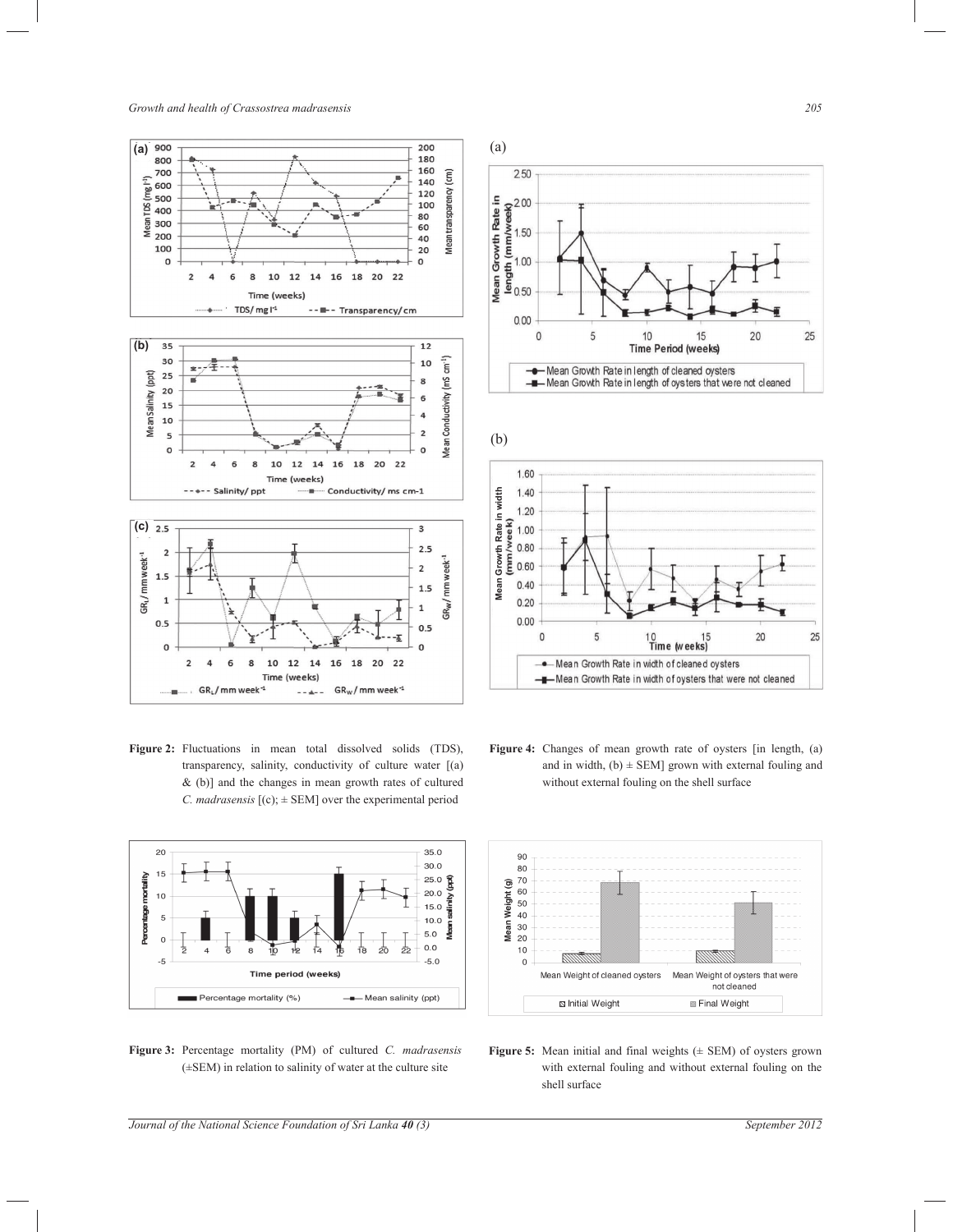*Growth and health of Crassostrea madrasensis 205*



Figure 2: Fluctuations in mean total dissolved solids (TDS), transparency, salinity, conductivity of culture water [(a) & (b)] and the changes in mean growth rates of cultured *C. madrasensis*  $[(c); \pm$  SEM] over the experimental period



**Figure 3:** Percentage mortality (PM) of cultured *C. madrasensis* (±SEM) in relation to salinity of water at the culture site







**Figure 4:** Changes of mean growth rate of oysters [in length, (a) and in width,  $(b) \pm$  SEM] grown with external fouling and without external fouling on the shell surface



Figure 5: Mean initial and final weights ( $\pm$  SEM) of oysters grown with external fouling and without external fouling on the shell surface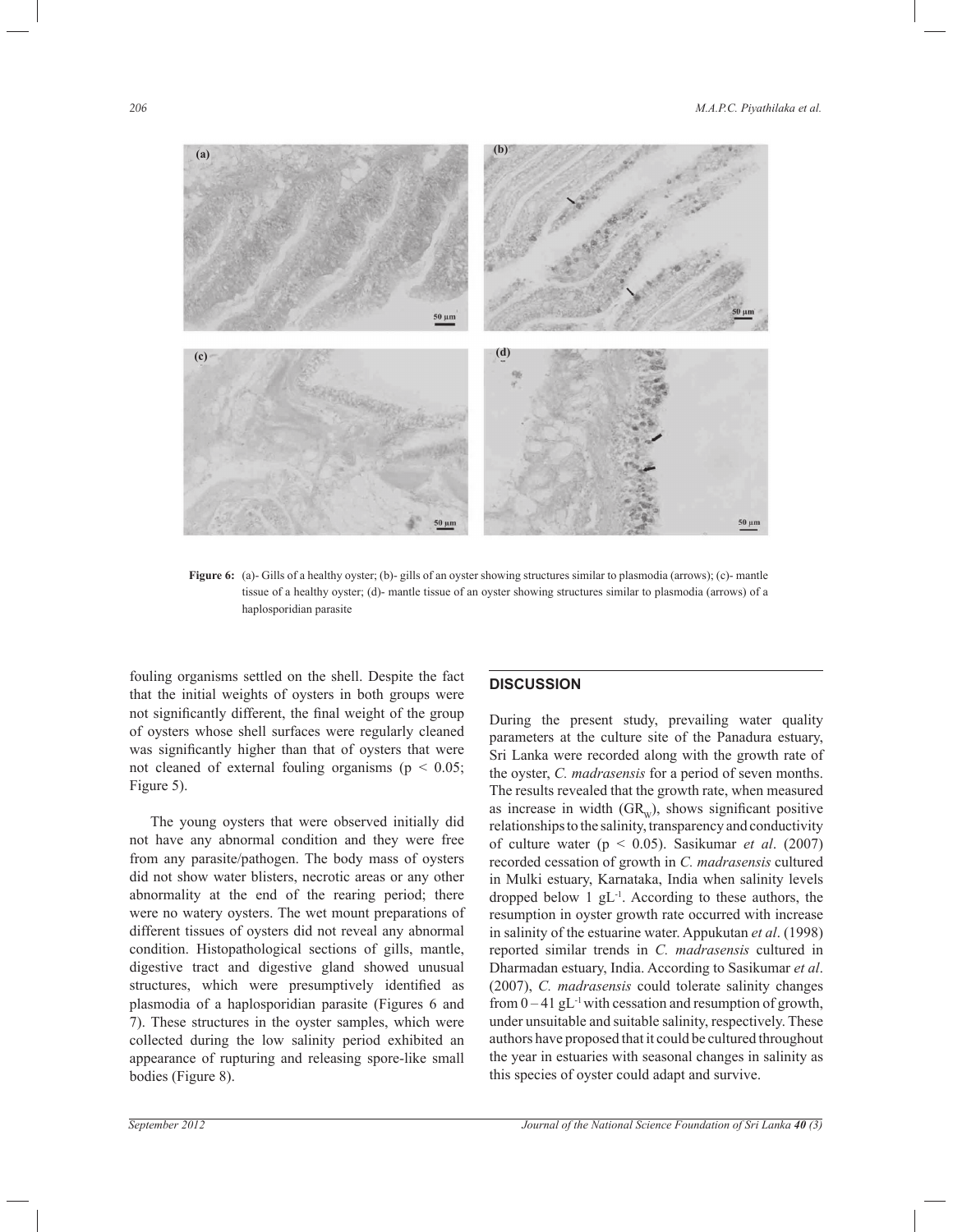

**Figure 6:** (a)- Gills of a healthy oyster; (b)- gills of an oyster showing structures similar to plasmodia (arrows); (c)- mantle tissue of a healthy oyster; (d)- mantle tissue of an oyster showing structures similar to plasmodia (arrows) of a haplosporidian parasite

fouling organisms settled on the shell. Despite the fact that the initial weights of oysters in both groups were not significantly different, the final weight of the group of oysters whose shell surfaces were regularly cleaned was significantly higher than that of oysters that were not cleaned of external fouling organisms ( $p < 0.05$ ; Figure 5).

 The young oysters that were observed initially did not have any abnormal condition and they were free from any parasite/pathogen. The body mass of oysters did not show water blisters, necrotic areas or any other abnormality at the end of the rearing period; there were no watery oysters. The wet mount preparations of different tissues of oysters did not reveal any abnormal condition. Histopathological sections of gills, mantle, digestive tract and digestive gland showed unusual structures, which were presumptively identified as plasmodia of a haplosporidian parasite (Figures 6 and 7). These structures in the oyster samples, which were collected during the low salinity period exhibited an appearance of rupturing and releasing spore-like small bodies (Figure 8).

# **DISCUSSION**

During the present study, prevailing water quality parameters at the culture site of the Panadura estuary, Sri Lanka were recorded along with the growth rate of the oyster, *C. madrasensis* for a period of seven months. The results revealed that the growth rate, when measured as increase in width  $(GR_w)$ , shows significant positive relationships to the salinity, transparency and conductivity of culture water (p < 0.05). Sasikumar *et al*. (2007) recorded cessation of growth in *C. madrasensis* cultured in Mulki estuary, Karnataka, India when salinity levels dropped below  $1 \text{ gL}^{-1}$ . According to these authors, the resumption in oyster growth rate occurred with increase in salinity of the estuarine water. Appukutan *et al*. (1998) reported similar trends in *C. madrasensis* cultured in Dharmadan estuary, India. According to Sasikumar *et al*. (2007), *C. madrasensis* could tolerate salinity changes from  $0 - 41$  gL<sup>-1</sup> with cessation and resumption of growth, under unsuitable and suitable salinity, respectively. These authors have proposed that it could be cultured throughout the year in estuaries with seasonal changes in salinity as this species of oyster could adapt and survive.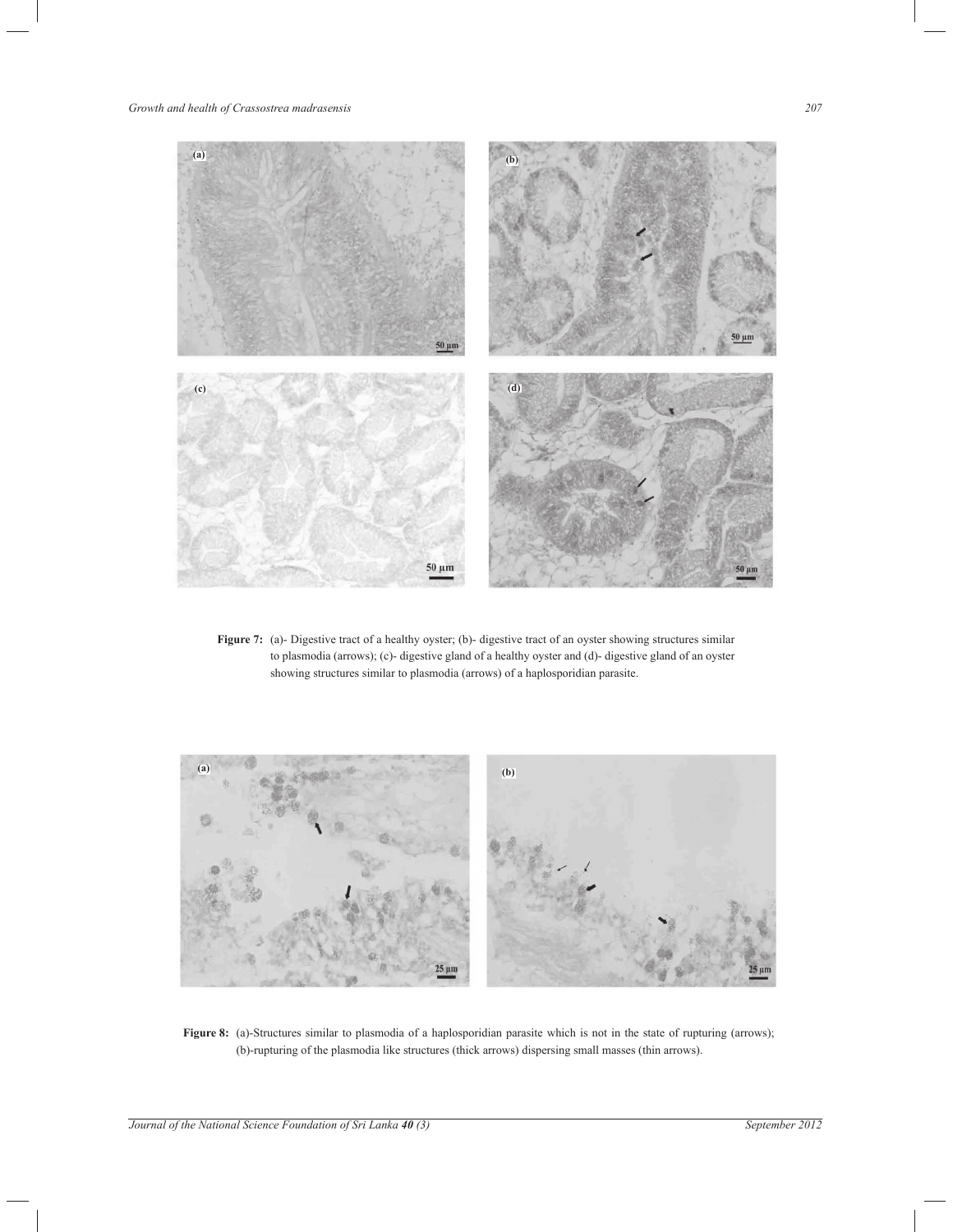# *Growth and health of Crassostrea madrasensis 207*



**Figure 7:** (a)- Digestive tract of a healthy oyster; (b)- digestive tract of an oyster showing structures similar to plasmodia (arrows); (c)- digestive gland of a healthy oyster and (d)- digestive gland of an oyster showing structures similar to plasmodia (arrows) of a haplosporidian parasite.



**Figure 8:** (a)-Structures similar to plasmodia of a haplosporidian parasite which is not in the state of rupturing (arrows); (b)-rupturing of the plasmodia like structures (thick arrows) dispersing small masses (thin arrows).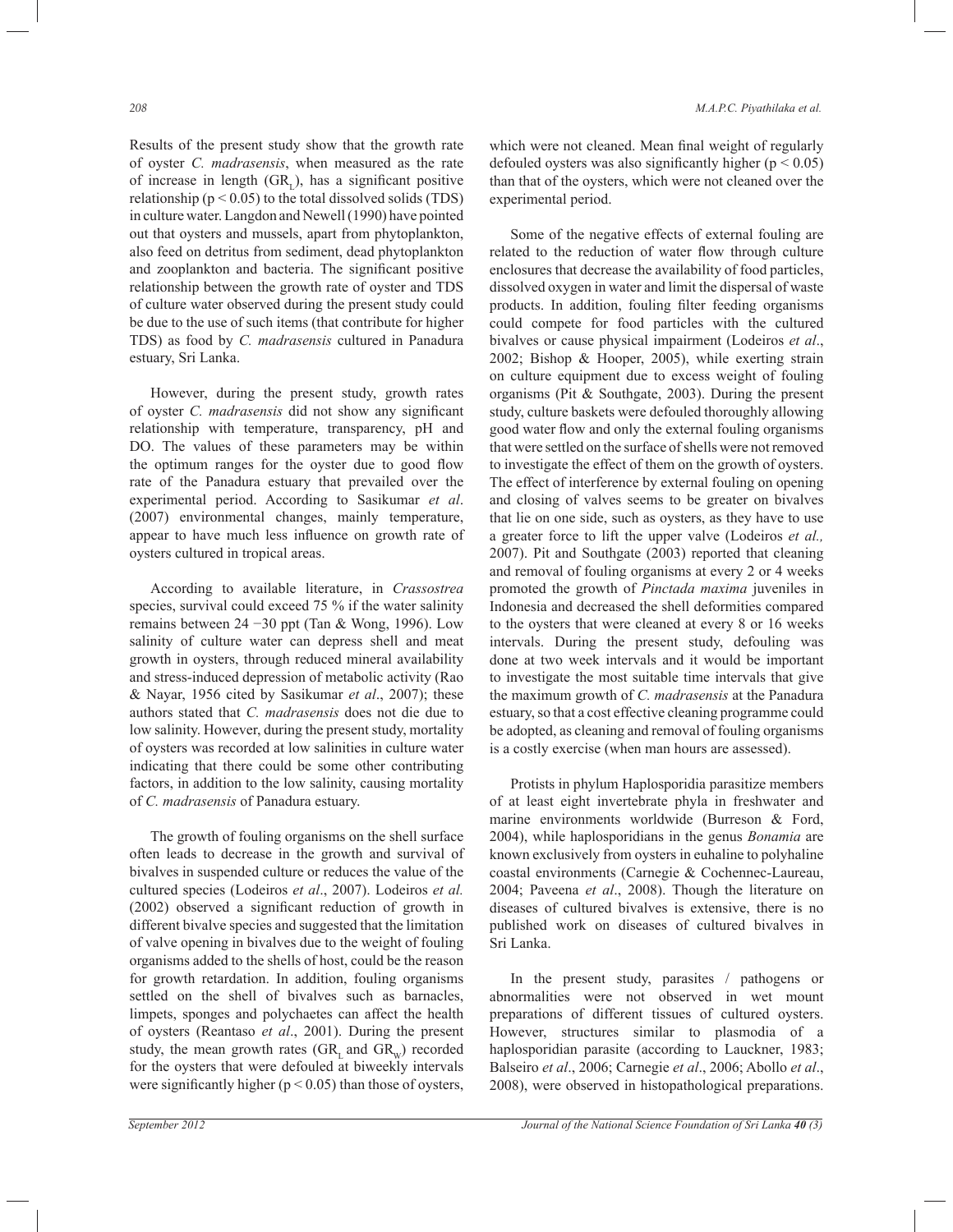Results of the present study show that the growth rate of oyster *C. madrasensis*, when measured as the rate of increase in length  $(GR<sub>L</sub>)$ , has a significant positive relationship ( $p < 0.05$ ) to the total dissolved solids (TDS) in culture water. Langdon and Newell (1990) have pointed out that oysters and mussels, apart from phytoplankton, also feed on detritus from sediment, dead phytoplankton and zooplankton and bacteria. The significant positive relationship between the growth rate of oyster and TDS of culture water observed during the present study could be due to the use of such items (that contribute for higher TDS) as food by *C. madrasensis* cultured in Panadura estuary, Sri Lanka.

 However, during the present study, growth rates of oyster *C. madrasensis* did not show any significant relationship with temperature, transparency, pH and DO. The values of these parameters may be within the optimum ranges for the oyster due to good flow rate of the Panadura estuary that prevailed over the experimental period. According to Sasikumar *et al*. (2007) environmental changes, mainly temperature, appear to have much less influence on growth rate of oysters cultured in tropical areas.

 According to available literature, in *Crassostrea* species, survival could exceed 75 % if the water salinity remains between 24 −30 ppt (Tan & Wong, 1996). Low salinity of culture water can depress shell and meat growth in oysters, through reduced mineral availability and stress-induced depression of metabolic activity (Rao & Nayar, 1956 cited by Sasikumar *et al*., 2007); these authors stated that *C. madrasensis* does not die due to low salinity. However, during the present study, mortality of oysters was recorded at low salinities in culture water indicating that there could be some other contributing factors, in addition to the low salinity, causing mortality of *C. madrasensis* of Panadura estuary.

 The growth of fouling organisms on the shell surface often leads to decrease in the growth and survival of bivalves in suspended culture or reduces the value of the cultured species (Lodeiros *et al*., 2007). Lodeiros *et al.* (2002) observed a significant reduction of growth in different bivalve species and suggested that the limitation of valve opening in bivalves due to the weight of fouling organisms added to the shells of host, could be the reason for growth retardation. In addition, fouling organisms settled on the shell of bivalves such as barnacles, limpets, sponges and polychaetes can affect the health of oysters (Reantaso *et al*., 2001). During the present study, the mean growth rates  $(GR_L)$  and  $GR_w$ ) recorded for the oysters that were defouled at biweekly intervals were significantly higher ( $p < 0.05$ ) than those of oysters,

which were not cleaned. Mean final weight of regularly defouled oysters was also significantly higher ( $p < 0.05$ ) than that of the oysters, which were not cleaned over the experimental period.

 Some of the negative effects of external fouling are related to the reduction of water flow through culture enclosures that decrease the availability of food particles, dissolved oxygen in water and limit the dispersal of waste products. In addition, fouling filter feeding organisms could compete for food particles with the cultured bivalves or cause physical impairment (Lodeiros *et al*., 2002; Bishop & Hooper, 2005), while exerting strain on culture equipment due to excess weight of fouling organisms (Pit & Southgate, 2003). During the present study, culture baskets were defouled thoroughly allowing good water flow and only the external fouling organisms that were settled on the surface of shells were not removed to investigate the effect of them on the growth of oysters. The effect of interference by external fouling on opening and closing of valves seems to be greater on bivalves that lie on one side, such as oysters, as they have to use a greater force to lift the upper valve (Lodeiros *et al.,*  2007). Pit and Southgate (2003) reported that cleaning and removal of fouling organisms at every 2 or 4 weeks promoted the growth of *Pinctada maxima* juveniles in Indonesia and decreased the shell deformities compared to the oysters that were cleaned at every 8 or 16 weeks intervals. During the present study, defouling was done at two week intervals and it would be important to investigate the most suitable time intervals that give the maximum growth of *C. madrasensis* at the Panadura estuary, so that a cost effective cleaning programme could be adopted, as cleaning and removal of fouling organisms is a costly exercise (when man hours are assessed).

 Protists in phylum Haplosporidia parasitize members of at least eight invertebrate phyla in freshwater and marine environments worldwide (Burreson & Ford, 2004), while haplosporidians in the genus *Bonamia* are known exclusively from oysters in euhaline to polyhaline coastal environments (Carnegie & Cochennec-Laureau, 2004; Paveena *et al*., 2008). Though the literature on diseases of cultured bivalves is extensive, there is no published work on diseases of cultured bivalves in Sri Lanka.

 In the present study, parasites / pathogens or abnormalities were not observed in wet mount preparations of different tissues of cultured oysters. However, structures similar to plasmodia of a haplosporidian parasite (according to Lauckner, 1983; Balseiro *et al*., 2006; Carnegie *et al*., 2006; Abollo *et al*., 2008), were observed in histopathological preparations.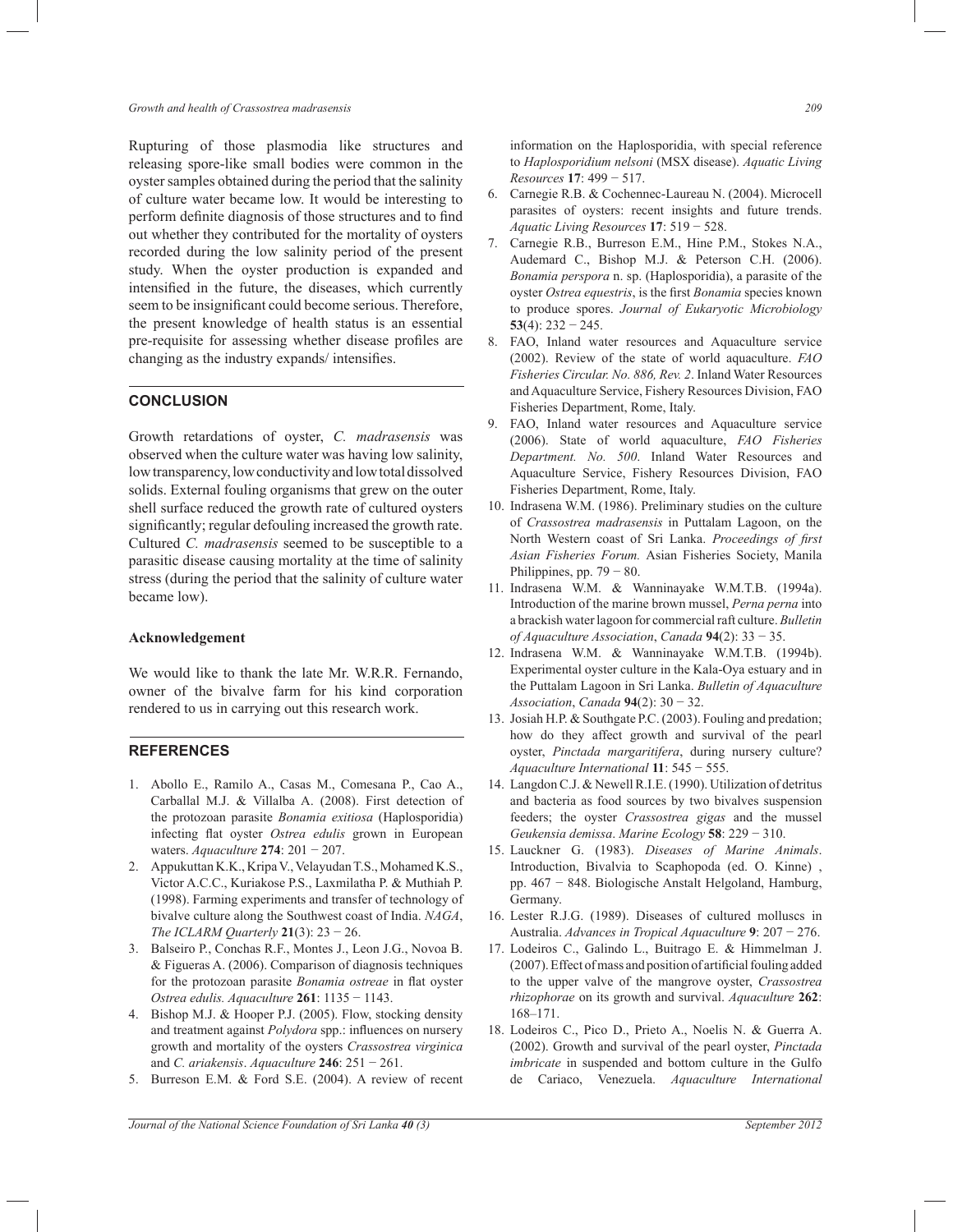Rupturing of those plasmodia like structures and releasing spore-like small bodies were common in the oyster samples obtained during the period that the salinity of culture water became low. It would be interesting to perform definite diagnosis of those structures and to find out whether they contributed for the mortality of oysters recorded during the low salinity period of the present study. When the oyster production is expanded and intensified in the future, the diseases, which currently seem to be insignificant could become serious. Therefore, the present knowledge of health status is an essential pre-requisite for assessing whether disease profiles are changing as the industry expands/ intensifies.

### **CONCLUSION**

Growth retardations of oyster, *C. madrasensis* was observed when the culture water was having low salinity, low transparency, low conductivity and low total dissolved solids. External fouling organisms that grew on the outer shell surface reduced the growth rate of cultured oysters significantly; regular defouling increased the growth rate. Cultured *C. madrasensis* seemed to be susceptible to a parasitic disease causing mortality at the time of salinity stress (during the period that the salinity of culture water became low).

#### **Acknowledgement**

We would like to thank the late Mr. W.R.R. Fernando, owner of the bivalve farm for his kind corporation rendered to us in carrying out this research work.

### **REFERENCES**

- 1. Abollo E., Ramilo A., Casas M., Comesana P., Cao A., Carballal M.J. & Villalba A. (2008). First detection of the protozoan parasite *Bonamia exitiosa* (Haplosporidia) infecting flat oyster *Ostrea edulis* grown in European waters. *Aquaculture* **274**: 201 − 207.
- 2. Appukuttan K.K., Kripa V., Velayudan T.S., Mohamed K.S., Victor A.C.C., Kuriakose P.S., Laxmilatha P. & Muthiah P. (1998). Farming experiments and transfer of technology of bivalve culture along the Southwest coast of India. *NAGA*, *The ICLARM Quarterly* **21**(3): 23 − 26.
- 3. Balseiro P., Conchas R.F., Montes J., Leon J.G., Novoa B. & Figueras A. (2006). Comparison of diagnosis techniques for the protozoan parasite *Bonamia ostreae* in flat oyster *Ostrea edulis. Aquaculture* **261**: 1135 − 1143.
- 4. Bishop M.J. & Hooper P.J. (2005). Flow, stocking density and treatment against *Polydora* spp.: influences on nursery growth and mortality of the oysters *Crassostrea virginica* and *C. ariakensis*. *Aquaculture* **246**: 251 − 261.
- 5. Burreson E.M. & Ford S.E. (2004). A review of recent

information on the Haplosporidia, with special reference to *Haplosporidium nelsoni* (MSX disease). *Aquatic Living Resources* **17**: 499 − 517.

- 6. Carnegie R.B. & Cochennec-Laureau N. (2004). Microcell parasites of oysters: recent insights and future trends. *Aquatic Living Resources* **17**: 519 − 528.
- 7. Carnegie R.B., Burreson E.M., Hine P.M., Stokes N.A., Audemard C., Bishop M.J. & Peterson C.H. (2006). *Bonamia perspora* n. sp. (Haplosporidia), a parasite of the oyster *Ostrea equestris*, is the first *Bonamia* species known to produce spores. *Journal of Eukaryotic Microbiology* **53**(4): 232 − 245.
- 8. FAO, Inland water resources and Aquaculture service (2002). Review of the state of world aquaculture. *FAO Fisheries Circular. No. 886, Rev. 2*. Inland Water Resources and Aquaculture Service, Fishery Resources Division, FAO Fisheries Department, Rome, Italy.
- 9. FAO, Inland water resources and Aquaculture service (2006). State of world aquaculture, *FAO Fisheries Department. No. 500*. Inland Water Resources and Aquaculture Service, Fishery Resources Division, FAO Fisheries Department, Rome, Italy.
- 10. Indrasena W.M. (1986). Preliminary studies on the culture of *Crassostrea madrasensis* in Puttalam Lagoon, on the North Western coast of Sri Lanka. *Proceedings of first Asian Fisheries Forum.* Asian Fisheries Society, Manila Philippines, pp. 79 − 80.
- 11. Indrasena W.M. & Wanninayake W.M.T.B. (1994a). Introduction of the marine brown mussel, *Perna perna* into a brackish water lagoon for commercial raft culture. *Bulletin of Aquaculture Association*, *Canada* **94**(2): 33 − 35.
- 12. Indrasena W.M. & Wanninayake W.M.T.B. (1994b). Experimental oyster culture in the Kala-Oya estuary and in the Puttalam Lagoon in Sri Lanka. *Bulletin of Aquaculture Association*, *Canada* **94**(2): 30 − 32.
- 13. Josiah H.P. & Southgate P.C. (2003). Fouling and predation; how do they affect growth and survival of the pearl oyster, *Pinctada margaritifera*, during nursery culture? *Aquaculture International* **11**: 545 − 555.
- 14. Langdon C.J. & Newell R.I.E. (1990). Utilization of detritus and bacteria as food sources by two bivalves suspension feeders; the oyster *Crassostrea gigas* and the mussel *Geukensia demissa*. *Marine Ecology* **58**: 229 − 310.
- 15. Lauckner G. (1983). *Diseases of Marine Animals*. Introduction, Bivalvia to Scaphopoda (ed. O. Kinne) , pp. 467 − 848. Biologische Anstalt Helgoland, Hamburg, Germany.
- 16. Lester R.J.G. (1989). Diseases of cultured molluscs in Australia. *Advances in Tropical Aquaculture* **9**: 207 − 276.
- 17. Lodeiros C., Galindo L., Buitrago E. & Himmelman J. (2007). Effect of mass and position of artificial fouling added to the upper valve of the mangrove oyster, *Crassostrea rhizophorae* on its growth and survival. *Aquaculture* **262**: 168–171.
- 18. Lodeiros C., Pico D., Prieto A., Noelis N. & Guerra A. (2002). Growth and survival of the pearl oyster, *Pinctada imbricate* in suspended and bottom culture in the Gulfo de Cariaco, Venezuela. *Aquaculture International*